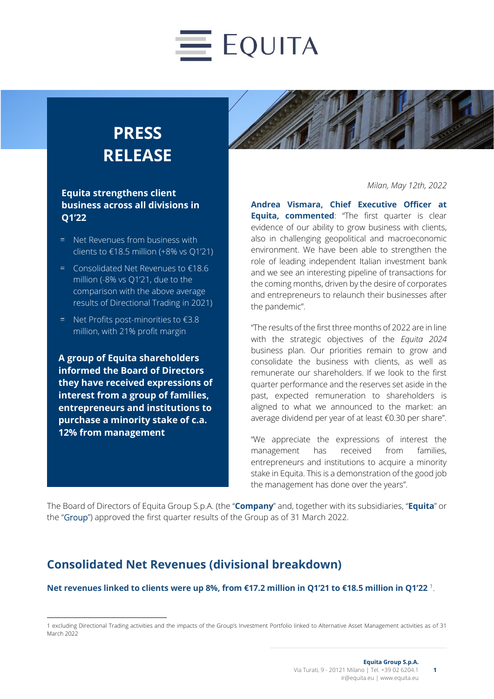# $\equiv$  EQUITA

# **PRESS RELEASE**

#### **Equita strengthens client business across all divisions in Q1'22**

- $=$  Net Revenues from business with clients to  $£18.5$  million  $(+8\% \text{ vs } 01\text{'}21)$
- Consolidated Net Revenues to €18.6 million (-8% vs Q1'21, due to the comparison with the above average results of Directional Trading in 2021)
- Net Profits post-minorities to €3.8 million, with 21% profit margin

**A group of Equita shareholders informed the Board of Directors they have received expressions of interest from a group of families, entrepreneurs and institutions to purchase a minority stake of c.a. 12% from management**



*Milan, May 12th, 2022*

**Andrea Vismara, Chief Executive Officer at Equita, commented:** "The first quarter is clear evidence of our ability to grow business with clients, also in challenging geopolitical and macroeconomic environment. We have been able to strengthen the role of leading independent Italian investment bank and we see an interesting pipeline of transactions for the coming months, driven by the desire of corporates and entrepreneurs to relaunch their businesses after the pandemic".

"The results of the first three months of 2022 are in line with the strategic objectives of the *Equita 2024*  business plan. Our priorities remain to grow and consolidate the business with clients, as well as remunerate our shareholders. If we look to the first quarter performance and the reserves set aside in the past, expected remuneration to shareholders is aligned to what we announced to the market: an average dividend per year of at least €0.30 per share".

"We appreciate the expressions of interest the management has received from families, entrepreneurs and institutions to acquire a minority stake in Equita. This is a demonstration of the good job the management has done over the years".

The Board of Directors of Equita Group S.p.A. (the "**Company**" and, together with its subsidiaries, "**Equita**" or the "Group") approved the first quarter results of the Group as of 31 March 2022.

#### **Consolidated Net Revenues (divisional breakdown)**

#### **Net revenues linked to clients were up 8%, from €17.2 million in Q1'21 to €18.5 million in Q1'22** <sup>1</sup> .

<sup>1</sup> excluding Directional Trading activities and the impacts of the Group's Investment Portfolio linked to Alternative Asset Management activities as of 31 March 2022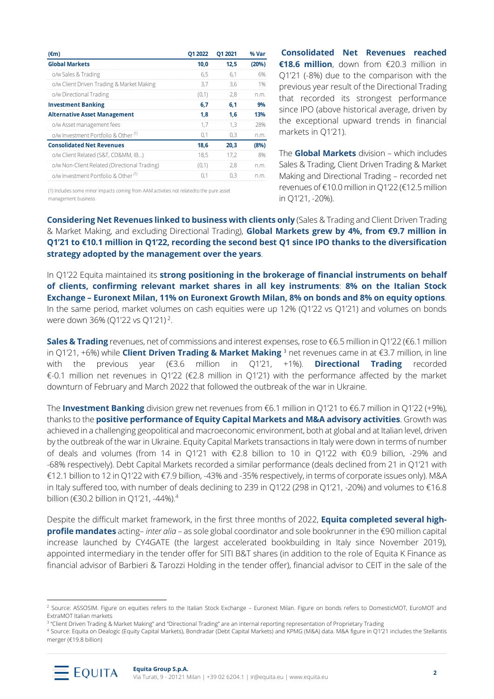| $(\epsilon m)$                                                                                                                                                                                                                        | Q1 2022 | Q1 2021 | % Var |
|---------------------------------------------------------------------------------------------------------------------------------------------------------------------------------------------------------------------------------------|---------|---------|-------|
| <b>Global Markets</b>                                                                                                                                                                                                                 | 10,0    | 12,5    | (20%) |
| o/w Sales & Trading                                                                                                                                                                                                                   | 6,5     | 6,1     | 6%    |
| o/w Client Driven Trading & Market Making                                                                                                                                                                                             | 3,7     | 3,6     | 1%    |
| o/w Directional Trading                                                                                                                                                                                                               | (0,1)   | 2,8     | n.m.  |
| <b>Investment Banking</b>                                                                                                                                                                                                             | 6,7     | 6,1     | 9%    |
| <b>Alternative Asset Management</b>                                                                                                                                                                                                   | 1,8     | 1,6     | 13%   |
| o/w Asset management fees                                                                                                                                                                                                             | 1,7     | 1,3     | 28%   |
| o/w Investment Portfolio & Other <sup>(1)</sup>                                                                                                                                                                                       | 0,1     | 0,3     | n.m.  |
| <b>Consolidated Net Revenues</b>                                                                                                                                                                                                      | 18,6    | 20,3    | (8%)  |
| o/w Client Related (S&T, CD&MM, IB)                                                                                                                                                                                                   | 18,5    | 17,2    | 8%    |
| o/w Non-Client Related (Directional Trading)                                                                                                                                                                                          | (0,1)   | 2,8     | n.m.  |
| o/w Investment Portfolio & Other <sup>(1)</sup>                                                                                                                                                                                       | 0,1     | 0,3     | n.m.  |
| (1) Includes some minor impacts coming from AAM activities not relatedto the pure asset<br>management business                                                                                                                        |         |         |       |
| <b>Considering Net Revenues linked to business with clien</b><br>& Market Making, and excluding Directional Trading), Globa<br>Q1'21 to €10.1 million in Q1'22, recording the second be                                               |         |         |       |
| strategy adopted by the management over the years.                                                                                                                                                                                    |         |         |       |
| In Q1'22 Equita maintained its strong positioning in the b                                                                                                                                                                            |         |         |       |
|                                                                                                                                                                                                                                       |         |         |       |
| of clients, confirming relevant market shares in all                                                                                                                                                                                  |         |         |       |
| <b>Exchange - Euronext Milan, 11% on Euronext Growth M</b>                                                                                                                                                                            |         |         |       |
| In the same period, market volumes on cash equities were                                                                                                                                                                              |         |         |       |
| were down 36% (Q1'22 vs Q1'21) <sup>2</sup> .                                                                                                                                                                                         |         |         |       |
|                                                                                                                                                                                                                                       |         |         |       |
| Sales & Trading revenues, net of commissions and interest e<br>in Q1'21, +6%) while Client Driven Trading & Market Mak<br>previous year (€3.6 million in<br>the<br>with<br>€-0.1 million net revenues in Q1'22 (€2.8 million in Q1'21 |         |         | Q1'2' |
| downturn of February and March 2022 that followed the out                                                                                                                                                                             |         |         |       |
|                                                                                                                                                                                                                                       |         |         |       |
| The <b>Investment Banking</b> division grew net revenues from $\epsilon$                                                                                                                                                              |         |         |       |
| thanks to the positive performance of Equity Capital Mar                                                                                                                                                                              |         |         |       |
| achieved in a challenging geopolitical and macroeconomic env                                                                                                                                                                          |         |         |       |
| by the outbreak of the war in Ukraine. Equity Capital Markets t                                                                                                                                                                       |         |         |       |
| of deals and volumes (from 14 in Q1'21 with €2.8 billic                                                                                                                                                                               |         |         |       |
| -68% respectively). Debt Capital Markets recorded a similar p                                                                                                                                                                         |         |         |       |
| €12.1 billion to 12 in Q1'22 with €7.9 billion, -43% and -35% re                                                                                                                                                                      |         |         |       |
| in Italy suffered too, with number of deals declining to 239 in                                                                                                                                                                       |         |         |       |
| billion (€30.2 billion in Q1'21, -44%). <sup>4</sup>                                                                                                                                                                                  |         |         |       |
|                                                                                                                                                                                                                                       |         |         |       |
| Despite the difficult market framework, in the first three mo                                                                                                                                                                         |         |         |       |
| profile mandates acting-inter alia - as sole global coordina                                                                                                                                                                          |         |         |       |
| increase launched by CY4GATE (the largest accelerated                                                                                                                                                                                 |         |         |       |
|                                                                                                                                                                                                                                       |         |         |       |
| appointed intermediary in the tender offer for SITI B&T shai                                                                                                                                                                          |         |         |       |
| financial advisor of Barbieri & Tarozzi Holding in the tender                                                                                                                                                                         |         |         |       |
|                                                                                                                                                                                                                                       |         |         |       |
| <sup>2</sup> Source: ASSOSIM. Figure on equities refers to the Italian Stock Exchange - Euror                                                                                                                                         |         |         |       |
| ExtraMOT Italian markets                                                                                                                                                                                                              |         |         |       |
| <sup>3</sup> "Client Driven Trading & Market Making" and "Directional Trading" are an internal rep                                                                                                                                    |         |         |       |

**Consolidated Net Revenues reached €18.6 million**, down from €20.3 million in Q1'21 (-8%) due to the comparison with the previous year result of the Directional Trading that recorded its strongest performance since IPO (above historical average, driven by the exceptional upward trends in financial markets in Q1'21).

The **Global Markets** division – which includes Sales & Trading, Client Driven Trading & Market Making and Directional Trading – recorded net revenues of €10.0 million in Q1'22 (€12.5 million in Q1'21, -20%).

**Considering Net Revenues linked to business with clients only** (Sales & Trading and Client Driven Trading & Market Making, and excluding Directional Trading), **Global Markets grew by 4%, from €9.7 million in Q1'21 to €10.1 million in Q1'22, recording the second best Q1 since IPO thanks to the diversification strategy adopted by the management over the years**.

In Q1'22 Equita maintained its **strong positioning in the brokerage of financial instruments on behalf of clients, confirming relevant market shares in all key instruments**: **8% on the Italian Stock Exchange – Euronext Milan, 11% on Euronext Growth Milan, 8% on bonds and 8% on equity options**. In the same period, market volumes on cash equities were up 12% (Q1'22 vs Q1'21) and volumes on bonds were down 36% (Q1'22 vs Q1'21)<sup>2</sup>.

**Sales & Trading** revenues, net of commissions and interest expenses, rose to €6.5 million in Q1'22 (€6.1 million in Q1'21, +6%) while **Client Driven Trading & Market Making** <sup>3</sup> net revenues came in at €3.7 million, in line with the previous year (€3.6 million in Q1'21, +1%). **Directional Trading** recorded €-0.1 million net revenues in Q1'22 (€2.8 million in Q1'21) with the performance affected by the market downturn of February and March 2022 that followed the outbreak of the war in Ukraine.

The **Investment Banking** division grew net revenues from €6.1 million in Q1'21 to €6.7 million in Q1'22 (+9%), thanks to the **positive performance of Equity Capital Markets and M&A advisory activities**. Growth was achieved in a challenging geopolitical and macroeconomic environment, both at global and at Italian level, driven by the outbreak of the war in Ukraine. Equity Capital Markets transactions in Italy were down in terms of number of deals and volumes (from 14 in Q1'21 with €2.8 billion to 10 in Q1'22 with €0.9 billion, -29% and -68% respectively). Debt Capital Markets recorded a similar performance (deals declined from 21 in Q1'21 with €12.1 billion to 12 in Q1'22 with €7.9 billion, -43% and -35% respectively, in terms of corporate issues only). M&A in Italy suffered too, with number of deals declining to 239 in Q1'22 (298 in Q1'21, -20%) and volumes to €16.8 billion (€30.2 billion in Q1'21, -44%).<sup>4</sup>

Despite the difficult market framework, in the first three months of 2022, **Equita completed several highprofile mandates** acting– *inter alia* – as sole global coordinator and sole bookrunner in the €90 million capital increase launched by CY4GATE (the largest accelerated bookbuilding in Italy since November 2019), appointed intermediary in the tender offer for SITI B&T shares (in addition to the role of Equita K Finance as financial advisor of Barbieri & Tarozzi Holding in the tender offer), financial advisor to CEIT in the sale of the

<sup>4</sup> Source: Equita on Dealogic (Equity Capital Markets), Bondradar (Debt Capital Markets) and KPMG (M&A) data. M&A figure in Q1'21 includes the Stellantis



<sup>&</sup>lt;sup>2</sup> Source: ASSOSIM. Figure on equities refers to the Italian Stock Exchange - Euronext Milan. Figure on bonds refers to DomesticMOT, EuroMOT and ExtraMOT Italian markets

<sup>&</sup>lt;sup>3</sup> "Client Driven Trading & Market Making" and "Directional Trading" are an internal reporting representation of Proprietary Trading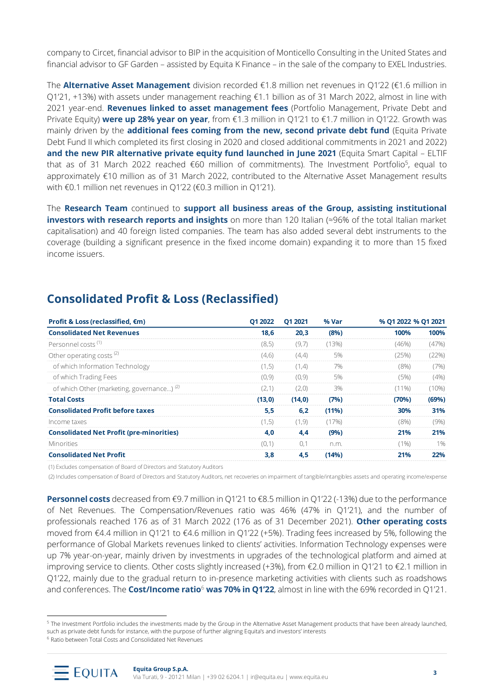company to Circet, financial advisor to BIP in the acquisition of Monticello Consulting in the United States and financial advisor to GF Garden – assisted by Equita K Finance – in the sale of the company to EXEL Industries.

The **Alternative Asset Management** division recorded €1.8 million net revenues in Q1'22 (€1.6 million in Q1'21, +13%) with assets under management reaching €1.1 billion as of 31 March 2022, almost in line with 2021 year-end. **Revenues linked to asset management fees** (Portfolio Management, Private Debt and Private Equity) **were up 28% year on year**, from €1.3 million in Q1'21 to €1.7 million in Q1'22. Growth was mainly driven by the **additional fees coming from the new, second private debt fund** (Equita Private Debt Fund II which completed its first closing in 2020 and closed additional commitments in 2021 and 2022) **and the new PIR alternative private equity fund launched in June 2021** (Equita Smart Capital – ELTIF that as of 31 March 2022 reached €60 million of commitments). The Investment Portfolio<sup>5</sup>, equal to approximately €10 million as of 31 March 2022, contributed to the Alternative Asset Management results with €0.1 million net revenues in Q1'22 (€0.3 million in Q1'21).

The **Research Team** continued to **support all business areas of the Group, assisting institutional investors with research reports and insights** on more than 120 Italian (≈96% of the total Italian market capitalisation) and 40 foreign listed companies. The team has also added several debt instruments to the coverage (building a significant presence in the fixed income domain) expanding it to more than 15 fixed income issuers.

#### **Consolidated Profit & Loss (Reclassified)**

| Profit & Loss (reclassified, €m)                                                                                                                                                                                                                                                                                                                                                                                                                                                                                                                                                                                                                                                                                                                                                                                                                                                                  | Q1 2022 | Q1 2021 | % Var | % Q1 2022 % Q1 2021 |       |
|---------------------------------------------------------------------------------------------------------------------------------------------------------------------------------------------------------------------------------------------------------------------------------------------------------------------------------------------------------------------------------------------------------------------------------------------------------------------------------------------------------------------------------------------------------------------------------------------------------------------------------------------------------------------------------------------------------------------------------------------------------------------------------------------------------------------------------------------------------------------------------------------------|---------|---------|-------|---------------------|-------|
| <b>Consolidated Net Revenues</b>                                                                                                                                                                                                                                                                                                                                                                                                                                                                                                                                                                                                                                                                                                                                                                                                                                                                  | 18,6    | 20,3    | (8%)  | 100%                | 100%  |
| Personnel costs <sup>(1)</sup>                                                                                                                                                                                                                                                                                                                                                                                                                                                                                                                                                                                                                                                                                                                                                                                                                                                                    | (8, 5)  | (9,7)   | (13%) | (46%)               | (47%) |
| Other operating costs <sup>(2)</sup>                                                                                                                                                                                                                                                                                                                                                                                                                                                                                                                                                                                                                                                                                                                                                                                                                                                              | (4, 6)  | (4,4)   | 5%    | (25%)               | (22%) |
| of which Information Technology                                                                                                                                                                                                                                                                                                                                                                                                                                                                                                                                                                                                                                                                                                                                                                                                                                                                   | (1, 5)  | (1,4)   | 7%    | (8%)                | (7%)  |
| of which Trading Fees                                                                                                                                                                                                                                                                                                                                                                                                                                                                                                                                                                                                                                                                                                                                                                                                                                                                             | (0, 9)  | (0, 9)  | 5%    | (5%)                | (4% ) |
| of which Other (marketing, governance) <sup>(2)</sup>                                                                                                                                                                                                                                                                                                                                                                                                                                                                                                                                                                                                                                                                                                                                                                                                                                             | (2,1)   | (2,0)   | 3%    | $(11\%)$            | (10%  |
| <b>Total Costs</b>                                                                                                                                                                                                                                                                                                                                                                                                                                                                                                                                                                                                                                                                                                                                                                                                                                                                                | (13, 0) | (14, 0) | (7%)  | (70%)               | (69%) |
| <b>Consolidated Profit before taxes</b>                                                                                                                                                                                                                                                                                                                                                                                                                                                                                                                                                                                                                                                                                                                                                                                                                                                           | 5,5     | 6,2     | (11%) | 30%                 | 31%   |
| Income taxes                                                                                                                                                                                                                                                                                                                                                                                                                                                                                                                                                                                                                                                                                                                                                                                                                                                                                      | (1, 5)  | (1, 9)  | (17%) | (8%)                | (9% ) |
| <b>Consolidated Net Profit (pre-minorities)</b>                                                                                                                                                                                                                                                                                                                                                                                                                                                                                                                                                                                                                                                                                                                                                                                                                                                   | 4,0     | 4,4     | (9%)  | 21%                 | 21%   |
| Minorities                                                                                                                                                                                                                                                                                                                                                                                                                                                                                                                                                                                                                                                                                                                                                                                                                                                                                        | (0,1)   | 0,1     | n.m.  | $(1\%)$             | 1%    |
| <b>Consolidated Net Profit</b>                                                                                                                                                                                                                                                                                                                                                                                                                                                                                                                                                                                                                                                                                                                                                                                                                                                                    | 3,8     | 4,5     | (14%) | 21%                 | 22%   |
| <b>Personnel costs</b> decreased from €9.7 million in Q1'21 to €8.5 million in Q1'22 (-13%) due to the performance<br>of Net Revenues. The Compensation/Revenues ratio was 46% (47% in Q1'21), and the number of<br>professionals reached 176 as of 31 March 2022 (176 as of 31 December 2021). Other operating costs<br>moved from €4.4 million in Q1'21 to €4.6 million in Q1'22 (+5%). Trading fees increased by 5%, following the<br>performance of Global Markets revenues linked to clients' activities. Information Technology expenses were<br>up 7% year-on-year, mainly driven by investments in upgrades of the technological platform and aimed at<br>improving service to clients. Other costs slightly increased (+3%), from €2.0 million in Q1'21 to €2.1 million in<br>Q1'22, mainly due to the gradual return to in-presence marketing activities with clients such as roadshows |         |         |       |                     |       |
| and conferences. The <b>Cost/Income ratio<sup>6</sup> was 70% in Q1'22</b> , almost in line with the 69% recorded in Q1'21.<br><sup>5</sup> The Investment Portfolio includes the investments made by the Group in the Alternative Asset Management products that have been already launched,<br>such as private debt funds for instance, with the purpose of further aligning Equita's and investors' interests<br><sup>6</sup> Ratio between Total Costs and Consolidated Net Revenues                                                                                                                                                                                                                                                                                                                                                                                                          |         |         |       |                     |       |

<sup>&</sup>lt;sup>5</sup> The Investment Portfolio includes the investments made by the Group in the Alternative Asset Management products that have been already launched, such as private debt funds for instance, with the purpose of further aligning Equita's and investors' interests

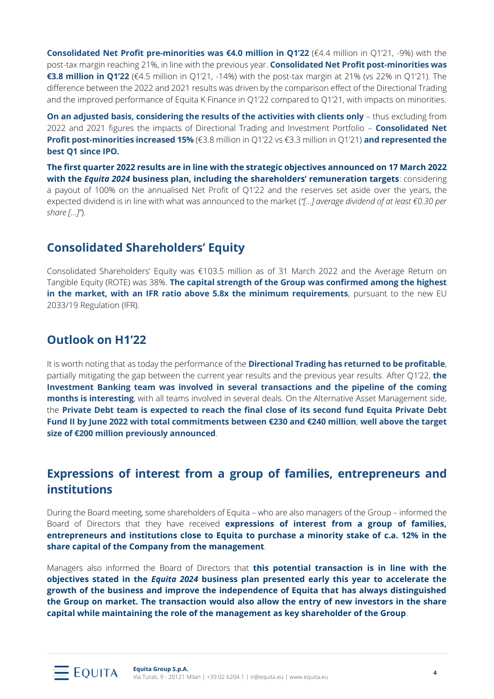**Consolidated Net Profit pre-minorities was €4.0 million in Q1'22** (€4.4 million in Q1'21, -9%) with the post-tax margin reaching 21%, in line with the previous year. **Consolidated Net Profit post-minorities was €3.8 million in Q1'22** (€4.5 million in Q1'21, -14%) with the post-tax margin at 21% (vs 22% in Q1'21). The difference between the 2022 and 2021 results was driven by the comparison effect of the Directional Trading and the improved performance of Equita K Finance in Q1'22 compared to Q1'21, with impacts on minorities.

**On an adjusted basis, considering the results of the activities with clients only** – thus excluding from 2022 and 2021 figures the impacts of Directional Trading and Investment Portfolio – **Consolidated Net Profit post-minorities increased 15%** (€3.8 million in Q1'22 vs €3.3 million in Q1'21) **and represented the best Q1 since IPO.**

**The first quarter 2022 results are in line with the strategic objectives announced on 17 March 2022 with the** *Equita 2024* **business plan, including the shareholders' remuneration targets**: considering a payout of 100% on the annualised Net Profit of Q1'22 and the reserves set aside over the years, the expected dividend is in line with what was announced to the market (*"[…] average dividend of at least €0.30 per share […]"*).

#### **Consolidated Shareholders' Equity**

Consolidated Shareholders' Equity was €103.5 million as of 31 March 2022 and the Average Return on Tangible Equity (ROTE) was 38%. **The capital strength of the Group was confirmed among the highest in the market, with an IFR ratio above 5.8x the minimum requirements**, pursuant to the new EU 2033/19 Regulation (IFR).

#### **Outlook on H1'22**

It is worth noting that as today the performance of the **Directional Trading has returned to be profitable**, partially mitigating the gap between the current year results and the previous year results. After Q1'22, **the Investment Banking team was involved in several transactions and the pipeline of the coming months is interesting**, with all teams involved in several deals. On the Alternative Asset Management side, the **Private Debt team is expected to reach the final close of its second fund Equita Private Debt Fund II by June 2022 with total commitments between €230 and €240 million**, **well above the target size of €200 million previously announced**.

#### **Expressions of interest from a group of families, entrepreneurs and institutions**

During the Board meeting, some shareholders of Equita – who are also managers of the Group – informed the Board of Directors that they have received **expressions of interest from a group of families, entrepreneurs and institutions close to Equita to purchase a minority stake of c.a. 12% in the share capital of the Company from the management**.

Managers also informed the Board of Directors that **this potential transaction is in line with the objectives stated in the** *Equita 2024* **business plan presented early this year to accelerate the growth of the business and improve the independence of Equita that has always distinguished the Group on market. The transaction would also allow the entry of new investors in the share capital while maintaining the role of the management as key shareholder of the Group**.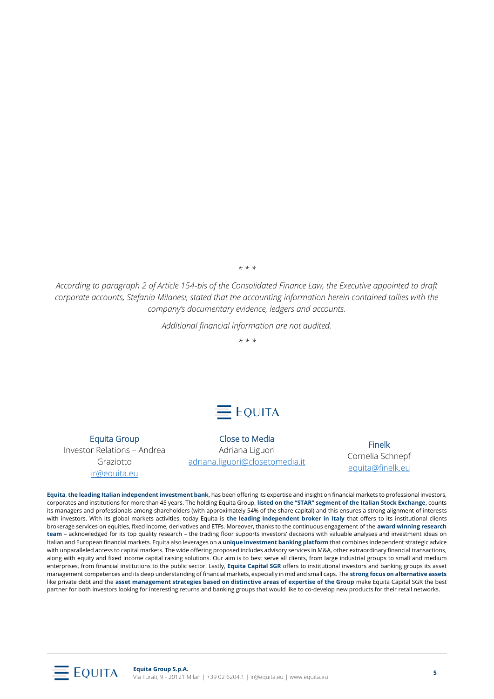*\* \* \**

*According to paragraph 2 of Article 154-bis of the Consolidated Finance Law, the Executive appointed to draft corporate accounts, Stefania Milanesi, stated that the accounting information herein contained tallies with the company's documentary evidence, ledgers and accounts.*

*Additional financial information are not audited.*

*\* \* \**

# $=$  Equita

Equita Group

Investor Relations – Andrea Graziotto [ir@equita.eu](mailto:ir@equita.eu)

Close to Media Adriana Liguori [adriana.liguori@closetomedia.it](mailto:adriana.liguori@closetomedia.it) 

Finelk Cornelia Schnepf [equita@finelk.eu](mailto:equita@finelk.eu)

**Equita**, **the leading Italian independent investment bank**, has been offering its expertise and insight on financial markets to professional investors, corporates and institutions for more than 45 years. The holding Equita Group, **listed on the "STAR" segment of the Italian Stock Exchange**, counts its managers and professionals among shareholders (with approximately 54% of the share capital) and this ensures a strong alignment of interests with investors. With its global markets activities, today Equita is **the leading independent broker in Italy** that offers to its institutional clients brokerage services on equities, fixed income, derivatives and ETFs. Moreover, thanks to the continuous engagement of the **award winning research team** – acknowledged for its top quality research – the trading floor supports investors' decisions with valuable analyses and investment ideas on Italian and European financial markets. Equita also leverages on a **unique investment banking platform** that combines independent strategic advice with unparalleled access to capital markets. The wide offering proposed includes advisory services in M&A, other extraordinary financial transactions, along with equity and fixed income capital raising solutions. Our aim is to best serve all clients, from large industrial groups to small and medium enterprises, from financial institutions to the public sector. Lastly, **Equita Capital SGR** offers to institutional investors and banking groups its asset management competences and its deep understanding of financial markets, especially in mid and small caps. The **strong focus on alternative assets** like private debt and the **asset management strategies based on distinctive areas of expertise of the Group** make Equita Capital SGR the best partner for both investors looking for interesting returns and banking groups that would like to co-develop new products for their retail networks.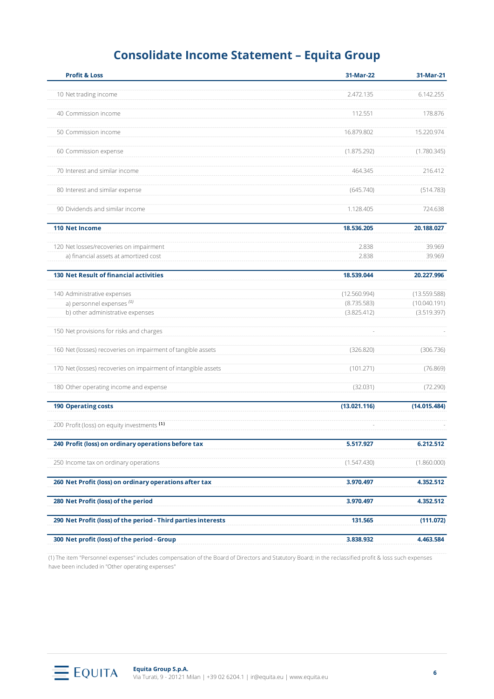### **Consolidate Income Statement – Equita Group**

| <b>Profit &amp; Loss</b>                                       | 31-Mar-22    | 31-Mar-21    |
|----------------------------------------------------------------|--------------|--------------|
| 10 Net trading income                                          | 2.472.135    | 6.142.255    |
| 40 Commission income                                           | 112.551      | 178.876      |
| 50 Commission income                                           | 16.879.802   | 15.220.974   |
| 60 Commission expense                                          | (1.875.292)  | (1.780.345)  |
| 70 Interest and similar income                                 | 464.345      | 216.412      |
| 80 Interest and similar expense                                | (645.740)    | (514.783)    |
| 90 Dividends and similar income                                | 1.128.405    | 724.638      |
| <b>110 Net Income</b>                                          | 18.536.205   | 20.188.027   |
| 120 Net losses/recoveries on impairment                        | 2.838        | 39.969       |
| a) financial assets at amortized cost                          | 2.838        | 39.969       |
| <b>130 Net Result of financial activities</b>                  | 18.539.044   | 20.227.996   |
| 140 Administrative expenses                                    | (12.560.994) | (13.559.588) |
| a) personnel expenses (1)                                      | (8.735.583)  | (10.040.191) |
| b) other administrative expenses                               | (3.825.412)  | (3.519.397)  |
| 150 Net provisions for risks and charges                       |              |              |
| 160 Net (losses) recoveries on impairment of tangible assets   | (326.820)    | (306.736)    |
| 170 Net (losses) recoveries on impairment of intangible assets | (101.271)    | (76.869)     |
| 180 Other operating income and expense                         | (32.031)     | (72.290)     |
| <b>190 Operating costs</b>                                     | (13.021.116) | (14.015.484) |
| 200 Profit (loss) on equity investments (1)                    |              |              |
| 240 Profit (loss) on ordinary operations before tax            | 5.517.927    | 6.212.512    |
| 250 Income tax on ordinary operations                          | (1.547.430)  | (1.860.000)  |
| 260 Net Profit (loss) on ordinary operations after tax         | 3.970.497    | 4.352.512    |
| 280 Net Profit (loss) of the period                            | 3.970.497    | 4.352.512    |
| 290 Net Profit (loss) of the period - Third parties interests  | 131.565      | (111.072)    |
| 300 Net profit (loss) of the period - Group                    | 3.838.932    | 4.463.584    |

(1) The item "Personnel expenses" includes compensation of the Board of Directors and Statutory Board; in the reclassified profit & loss such expenses have been included in "Other operating expenses"